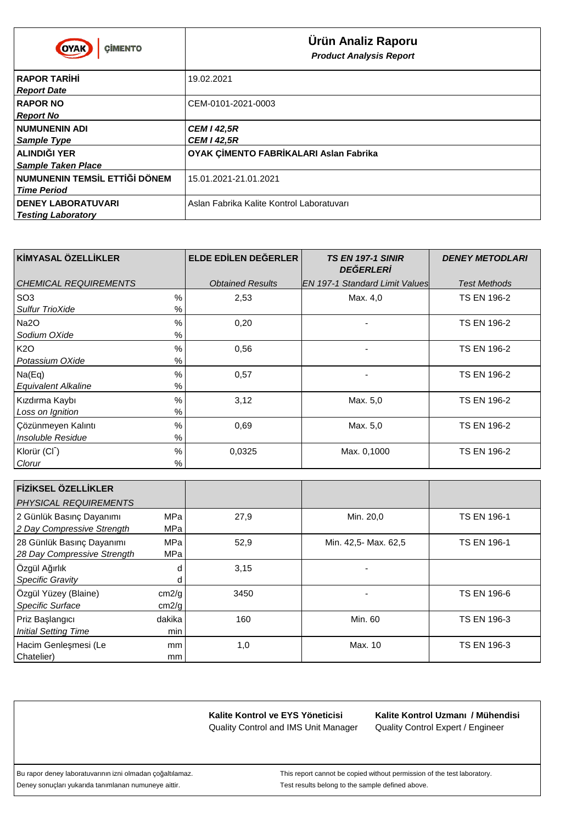| <b>CIMENTO</b><br>OYAK                                            | Ürün Analiz Raporu<br><b>Product Analysis Report</b> |
|-------------------------------------------------------------------|------------------------------------------------------|
| <b>RAPOR TAR H</b><br><b>Report Date</b>                          | 19.02.2021                                           |
| <b>RAPOR NO</b><br><b>Report No</b>                               | CEM-0101-2021-0003                                   |
| <b>NUMUNENIN ADI</b><br>Sample Type                               | <b>CEM I 42,5R</b><br><b>CEM I 42,5R</b>             |
| <b>ALINDI I YER</b><br><b>Sample Taken Place</b>                  | OYAK Ç MENTO FABR KALARI Aslan Fabrika               |
| <b>DÖNEM</b><br><b>NUMUNENIN TEMS L ETT</b><br><b>Time Period</b> | 15.01.2021-21.01.2021                                |
| <b>DENEY LABORATUVARI</b><br><b>Testing Laboratory</b>            | Aslan Fabrika Kalite Kontrol Laboratuvarı            |

| K MYASAL ÖZELL KLER               | ELDE ED LEN DE ERLER    | <b>TS EN 197-1 SINIR</b><br><b>DE ERLER</b> | <b>DENEY METODLARI</b> |
|-----------------------------------|-------------------------|---------------------------------------------|------------------------|
| CHEMICAL REQUIREMENTS             | <b>Obtained Results</b> | IEN 197-1 Standard Limit Valuesl            | <b>Test Methods</b>    |
| SO <sub>3</sub><br>$\frac{0}{0}$  | 2,53                    | Max. 4,0                                    | <b>TS EN 196-2</b>     |
| Sulfur TrioXide<br>$\%$           |                         |                                             |                        |
| $\%$<br>Na2O                      | 0,20                    |                                             | <b>TS EN 196-2</b>     |
| Sodium OXide<br>%                 |                         |                                             |                        |
| K2O<br>$\%$                       | 0,56                    |                                             | <b>TS EN 196-2</b>     |
| Potassium OXide<br>%              |                         |                                             |                        |
| $\%$<br>Na(Eq)                    | 0,57                    |                                             | <b>TS EN 196-2</b>     |
| %<br><b>Equivalent Alkaline</b>   |                         |                                             |                        |
| $\frac{0}{0}$<br>Kızdırma Kaybı   | 3,12                    | Max. 5,0                                    | <b>TS EN 196-2</b>     |
| Loss on Ignition<br>%             |                         |                                             |                        |
| $\%$<br>Cözünmeyen Kalıntı        | 0.69                    | Max. 5,0                                    | <b>TS EN 196-2</b>     |
| Insoluble Residue<br>$\%$         |                         |                                             |                        |
| $\%$<br>Klorür (CI <sup>-</sup> ) | 0.0325                  | Max. 0,1000                                 | <b>TS EN 196-2</b>     |
| $\%$<br>Clorur                    |                         |                                             |                        |

| F Z KSEL ÖZELL KLER<br><b>PHYSICAL REQUIREMENTS</b>      |                   |      |                      |                    |
|----------------------------------------------------------|-------------------|------|----------------------|--------------------|
| 2 Günlük Basınç Dayanımı<br>2 Day Compressive Strength   | MPa<br><b>MPa</b> | 27,9 | Min. 20,0            | <b>TS EN 196-1</b> |
| 28 Günlük Basınç Dayanımı<br>28 Day Compressive Strength | <b>MPa</b><br>MPa | 52,9 | Min. 42,5- Max. 62,5 | <b>TS EN 196-1</b> |
| Özgül A ırlık<br><b>Specific Gravity</b>                 | d<br>d            | 3,15 |                      |                    |
| Özgül Yüzey (Blaine)<br>Specific Surface                 | cm2/g<br>cm2/g    | 3450 |                      | <b>TS EN 196-6</b> |
| Priz Ba langici<br><b>Initial Setting Time</b>           | dakika<br>min     | 160  | Min. 60              | <b>TS EN 196-3</b> |
| Hacim Genle mesi (Le<br>Chatelier)                       | mm<br>mm          | 1,0  | Max. 10              | <b>TS EN 196-3</b> |

Quality Control Expert / Engineer **Kalite Kontrol Uzmanı / Mühendisi**

Deney sonuçları yukarıda tanımlanan numuneye aittir. Test results belong to the sample defined above.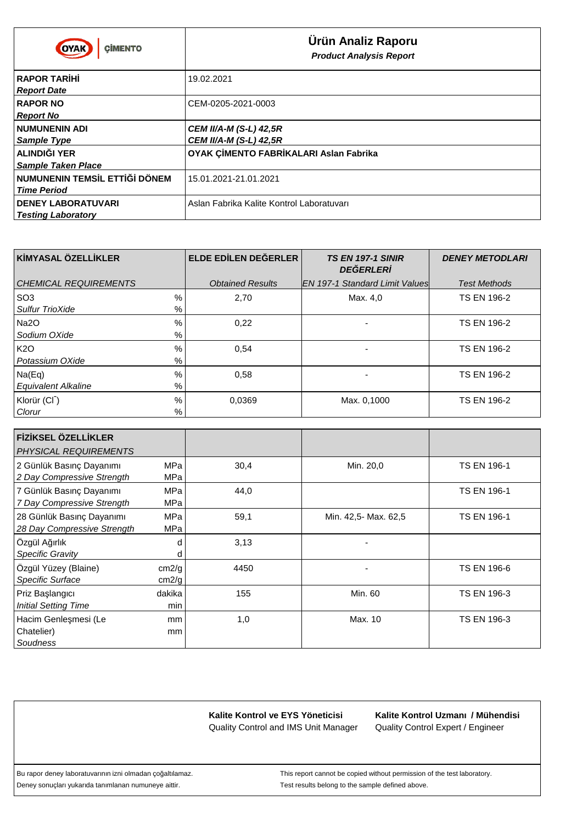| <b>CIMENTO</b><br><b>OYAK</b>                                     | Ürün Analiz Raporu<br><b>Product Analysis Report</b>           |
|-------------------------------------------------------------------|----------------------------------------------------------------|
| <b>RAPOR TAR H</b><br><b>Report Date</b>                          | 19.02.2021                                                     |
| <b>RAPOR NO</b><br><b>Report No</b>                               | CEM-0205-2021-0003                                             |
| <b>NUMUNENIN ADI</b><br><b>Sample Type</b>                        | <b>CEM II/A-M (S-L) 42,5R</b><br><b>CEM II/A-M (S-L) 42,5R</b> |
| <b>ALINDI I YER</b><br><b>Sample Taken Place</b>                  | OYAK Ç MENTO FABR KALARI Aslan Fabrika                         |
| <b>DÖNEM</b><br><b>NUMUNENIN TEMS L ETT</b><br><b>Time Period</b> | 15.01.2021-21.01.2021                                          |
| <b>DENEY LABORATUVARI</b><br><b>Testing Laboratory</b>            | Aslan Fabrika Kalite Kontrol Laboratuvarı                      |

| K MYASAL ÖZELL KLER                                       | ELDE ED LEN DE ERLER    | <b>TS EN 197-1 SINIR</b><br><b>DE ERLER</b> | <b>DENEY METODLARI</b> |
|-----------------------------------------------------------|-------------------------|---------------------------------------------|------------------------|
| <b>CHEMICAL REQUIREMENTS</b>                              | <b>Obtained Results</b> | <b>IEN 197-1 Standard Limit Values</b>      | <b>Test Methods</b>    |
| %<br>SO <sub>3</sub><br>%<br><b>Sulfur TrioXide</b>       | 2,70                    | Max. 4,0                                    | <b>TS EN 196-2</b>     |
| %<br>Na2O<br>%<br>Sodium OXide                            | 0,22                    |                                             | <b>TS EN 196-2</b>     |
| $\frac{0}{0}$<br>K <sub>2</sub> O<br>%<br>Potassium OXide | 0.54                    |                                             | <b>TS EN 196-2</b>     |
| %<br>Na(Eq)<br>%<br><b>Equivalent Alkaline</b>            | 0,58                    |                                             | <b>TS EN 196-2</b>     |
| $\%$<br>Klorür (CI <sup>-</sup> )<br>%<br>Clorur          | 0.0369                  | Max. 0,1000                                 | <b>TS EN 196-2</b>     |

| F Z KSEL ÖZELL KLER<br><b>PHYSICAL REQUIREMENTS</b>      |                   |      |                      |                    |
|----------------------------------------------------------|-------------------|------|----------------------|--------------------|
| 2 Günlük Basınç Dayanımı<br>2 Day Compressive Strength   | <b>MPa</b><br>MPa | 30,4 | Min. 20,0            | <b>TS EN 196-1</b> |
| 7 Günlük Basınç Dayanımı<br>7 Day Compressive Strength   | <b>MPa</b><br>MPa | 44,0 |                      | <b>TS EN 196-1</b> |
| 28 Günlük Basınç Dayanımı<br>28 Day Compressive Strength | MPa<br>MPa        | 59,1 | Min. 42,5- Max. 62,5 | <b>TS EN 196-1</b> |
| Özgül A ırlık<br>Specific Gravity                        | d<br>d            | 3,13 |                      |                    |
| Özgül Yüzey (Blaine)<br>Specific Surface                 | cm2/g<br>cm2/g    | 4450 |                      | <b>TS EN 196-6</b> |
| Priz Ba langıcı<br><b>Initial Setting Time</b>           | dakika<br>min     | 155  | Min. 60              | <b>TS EN 196-3</b> |
| Hacim Genle mesi (Le<br>Chatelier)<br>Soudness           | mm<br>mm          | 1,0  | Max. 10              | <b>TS EN 196-3</b> |

Quality Control Expert / Engineer **Kalite Kontrol Uzmanı / Mühendisi**

Deney sonuçları yukarıda tanımlanan numuneye aittir. Test results belong to the sample defined above.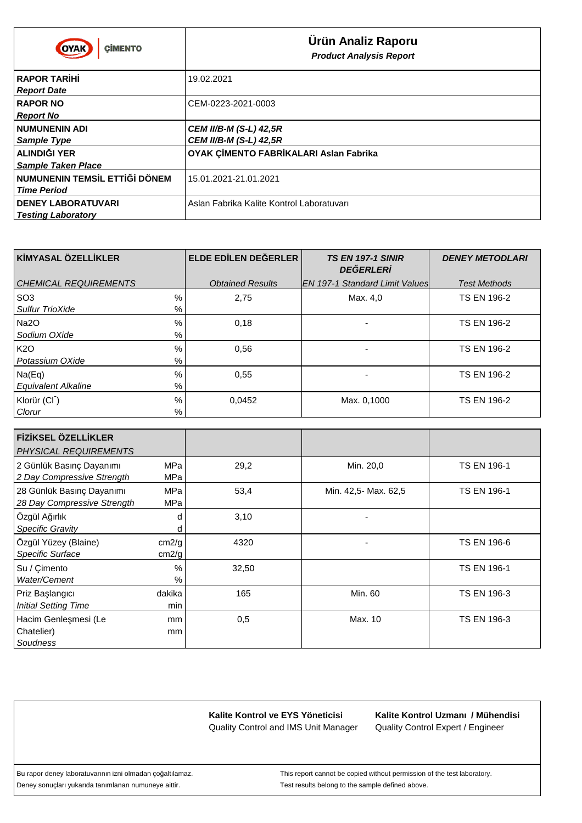| <b>CIMENTO</b><br>OYAK                                            | <b>Ürün Analiz Raporu</b><br><b>Product Analysis Report</b>    |
|-------------------------------------------------------------------|----------------------------------------------------------------|
| <b>RAPOR TAR H</b><br><b>Report Date</b>                          | 19.02.2021                                                     |
| <b>RAPOR NO</b><br><b>Report No</b>                               | CEM-0223-2021-0003                                             |
| <b>NUMUNENIN ADI</b><br><b>Sample Type</b>                        | <b>CEM II/B-M (S-L) 42,5R</b><br><b>CEM II/B-M (S-L) 42,5R</b> |
| ALINDI I YER<br><b>Sample Taken Place</b>                         | OYAK Ç MENTO FABR KALARI Aslan Fabrika                         |
| <b>DÖNEM</b><br><b>NUMUNENIN TEMS L ETT</b><br><b>Time Period</b> | 15.01.2021-21.01.2021                                          |
| <b>DENEY LABORATUVARI</b><br><b>Testing Laboratory</b>            | Aslan Fabrika Kalite Kontrol Laboratuvari                      |

| K MYASAL ÖZELL KLER              | ELDE ED LEN DE ERLER    | <b>TS EN 197-1 SINIR</b><br><b>DE ERLER</b> | <b>DENEY METODLARI</b> |
|----------------------------------|-------------------------|---------------------------------------------|------------------------|
| <b>CHEMICAL REQUIREMENTS</b>     | <b>Obtained Results</b> | <b>IEN 197-1 Standard Limit Values</b>      | <b>Test Methods</b>    |
| $\frac{0}{0}$<br>SO <sub>3</sub> | 2,75                    | Max. 4,0                                    | <b>TS EN 196-2</b>     |
| %<br><b>Sulfur TrioXide</b>      |                         |                                             |                        |
| %<br>Na2O                        | 0,18                    |                                             | <b>TS EN 196-2</b>     |
| Sodium OXide<br>%                |                         |                                             |                        |
| K <sub>2</sub> O<br>%            | 0,56                    |                                             | <b>TS EN 196-2</b>     |
| %<br>Potassium OXide             |                         |                                             |                        |
| %<br>Na(Eq)                      | 0,55                    |                                             | <b>TS EN 196-2</b>     |
| %<br><b>Equivalent Alkaline</b>  |                         |                                             |                        |
| Klorür (CI <sup>-</sup> )<br>%   | 0,0452                  | Max. 0,1000                                 | <b>TS EN 196-2</b>     |
| %<br>Clorur                      |                         |                                             |                        |

| F Z KSEL ÖZELL KLER<br><b>PHYSICAL REQUIREMENTS</b>      |                   |       |                      |                    |
|----------------------------------------------------------|-------------------|-------|----------------------|--------------------|
| 2 Günlük Basınç Dayanımı<br>2 Day Compressive Strength   | <b>MPa</b><br>MPa | 29,2  | Min. 20,0            | <b>TS EN 196-1</b> |
| 28 Günlük Basınç Dayanımı<br>28 Day Compressive Strength | MPa<br>MPa        | 53,4  | Min. 42,5- Max. 62,5 | <b>TS EN 196-1</b> |
| Özgül A ırlık<br>Specific Gravity                        | d<br>d            | 3,10  |                      |                    |
| Özgül Yüzey (Blaine)<br>Specific Surface                 | cm2/g<br>cm2/g    | 4320  |                      | TS EN 196-6        |
| Su / Çimento<br>Water/Cement                             | %<br>%            | 32,50 |                      | <b>TS EN 196-1</b> |
| Priz Ba langıcı<br><b>Initial Setting Time</b>           | dakika<br>min     | 165   | Min. 60              | <b>TS EN 196-3</b> |
| Hacim Genle mesi (Le<br>Chatelier)<br>Soudness           | mm<br>mm          | 0,5   | Max. 10              | TS EN 196-3        |

Quality Control Expert / Engineer **Kalite Kontrol Uzmanı / Mühendisi**

Deney sonuçları yukarıda tanımlanan numuneye aittir. Test results belong to the sample defined above.